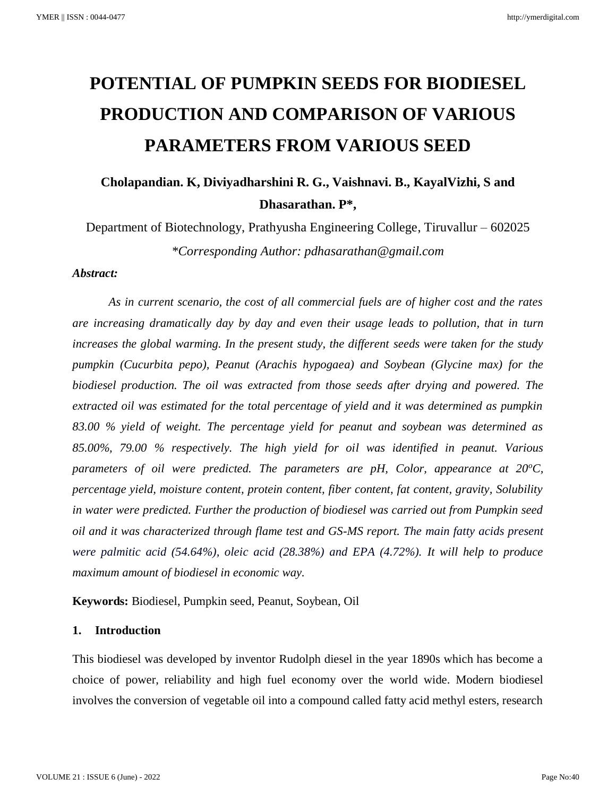# **POTENTIAL OF PUMPKIN SEEDS FOR BIODIESEL PRODUCTION AND COMPARISON OF VARIOUS PARAMETERS FROM VARIOUS SEED**

**Cholapandian. K, Diviyadharshini R. G., Vaishnavi. B., KayalVizhi, S and Dhasarathan. P\*,**

Department of Biotechnology, Prathyusha Engineering College, Tiruvallur – 602025 *\*Corresponding Author: pdhasarathan@gmail.com*

### *Abstract:*

*As in current scenario, the cost of all commercial fuels are of higher cost and the rates are increasing dramatically day by day and even their usage leads to pollution, that in turn increases the global warming. In the present study, the different seeds were taken for the study pumpkin (Cucurbita pepo), Peanut (Arachis hypogaea) and Soybean (Glycine max) for the biodiesel production. The oil was extracted from those seeds after drying and powered. The extracted oil was estimated for the total percentage of yield and it was determined as pumpkin 83.00 % yield of weight. The percentage yield for peanut and soybean was determined as 85.00%, 79.00 % respectively. The high yield for oil was identified in peanut. Various parameters of oil were predicted. The parameters are pH, Color, appearance at 20<sup>o</sup>C, percentage yield, moisture content, protein content, fiber content, fat content, gravity, Solubility in water were predicted. Further the production of biodiesel was carried out from Pumpkin seed oil and it was characterized through flame test and GS-MS report. The main fatty acids present were palmitic acid (54.64%), oleic acid (28.38%) and EPA (4.72%). It will help to produce maximum amount of biodiesel in economic way.* 

**Keywords:** Biodiesel, Pumpkin seed, Peanut, Soybean, Oil

## **1. Introduction**

This biodiesel was developed by inventor Rudolph diesel in the year 1890s which has become a choice of power, reliability and high fuel economy over the world wide. Modern biodiesel involves the conversion of vegetable oil into a compound called fatty acid methyl esters, research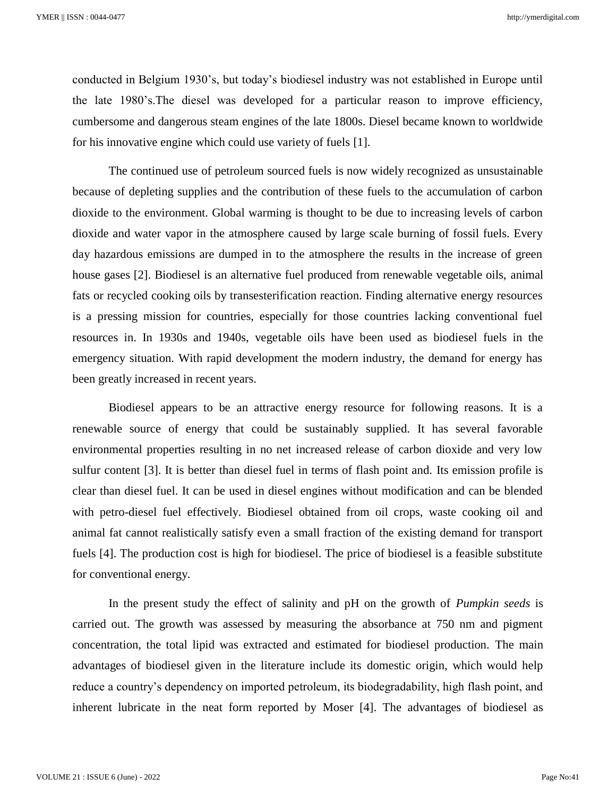conducted in Belgium 1930's, but today's biodiesel industry was not established in Europe until the late 1980's.The diesel was developed for a particular reason to improve efficiency, cumbersome and dangerous steam engines of the late 1800s. Diesel became known to worldwide for his innovative engine which could use variety of fuels [1].

The continued use of petroleum sourced fuels is now widely recognized as unsustainable because of depleting supplies and the contribution of these fuels to the accumulation of carbon dioxide to the environment. Global warming is thought to be due to increasing levels of carbon dioxide and water vapor in the atmosphere caused by large scale burning of fossil fuels. Every day hazardous emissions are dumped in to the atmosphere the results in the increase of green house gases [2]. Biodiesel is an alternative fuel produced from renewable vegetable oils, animal fats or recycled cooking oils by transesterification reaction. Finding alternative energy resources is a pressing mission for countries, especially for those countries lacking conventional fuel resources in. In 1930s and 1940s, vegetable oils have been used as biodiesel fuels in the emergency situation. With rapid development the modern industry, the demand for energy has been greatly increased in recent years.

Biodiesel appears to be an attractive energy resource for following reasons. It is a renewable source of energy that could be sustainably supplied. It has several favorable environmental properties resulting in no net increased release of carbon dioxide and very low sulfur content [3]. It is better than diesel fuel in terms of flash point and. Its emission profile is clear than diesel fuel. It can be used in diesel engines without modification and can be blended with petro-diesel fuel effectively. Biodiesel obtained from oil crops, waste cooking oil and animal fat cannot realistically satisfy even a small fraction of the existing demand for transport fuels [4]. The production cost is high for biodiesel. The price of biodiesel is a feasible substitute for conventional energy.

In the present study the effect of salinity and pH on the growth of *Pumpkin seeds* is carried out. The growth was assessed by measuring the absorbance at 750 nm and pigment concentration, the total lipid was extracted and estimated for biodiesel production. The main advantages of biodiesel given in the literature include its domestic origin, which would help reduce a country's dependency on imported petroleum, its biodegradability, high flash point, and inherent lubricate in the neat form reported by Moser [4]. The advantages of biodiesel as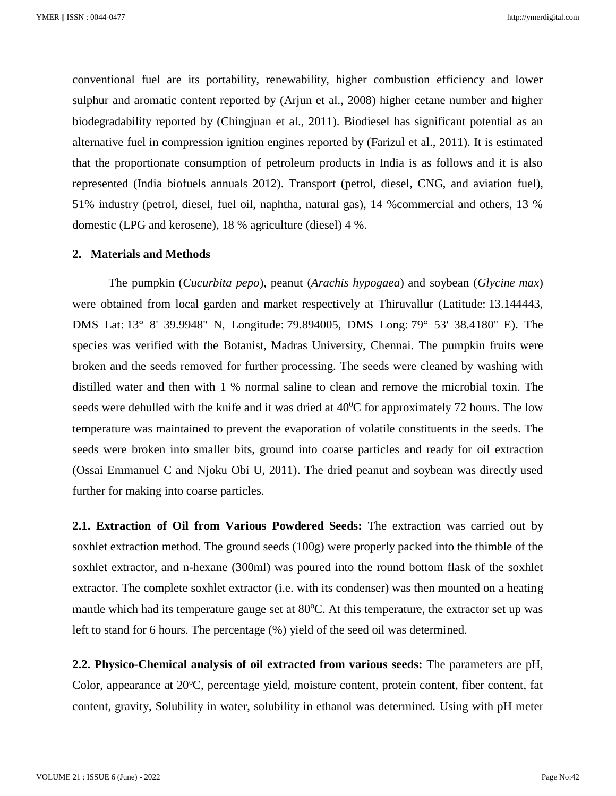conventional fuel are its portability, renewability, higher combustion efficiency and lower sulphur and aromatic content reported by (Arjun et al., 2008) higher cetane number and higher biodegradability reported by (Chingjuan et al., 2011). Biodiesel has significant potential as an alternative fuel in compression ignition engines reported by (Farizul et al., 2011). It is estimated that the proportionate consumption of petroleum products in India is as follows and it is also represented (India biofuels annuals 2012). Transport (petrol, diesel, CNG, and aviation fuel), 51% industry (petrol, diesel, fuel oil, naphtha, natural gas), 14 %commercial and others, 13 % domestic (LPG and kerosene), 18 % agriculture (diesel) 4 %.

#### **2. Materials and Methods**

The pumpkin (*Cucurbita pepo*), peanut (*Arachis hypogaea*) and soybean (*Glycine max*) were obtained from local garden and market respectively at Thiruvallur (Latitude: 13.144443, DMS Lat: 13° 8' 39.9948'' N, Longitude: 79.894005, DMS Long: 79° 53' 38.4180'' E). The species was verified with the Botanist, Madras University, Chennai. The pumpkin fruits were broken and the seeds removed for further processing. The seeds were cleaned by washing with distilled water and then with 1 % normal saline to clean and remove the microbial toxin. The seeds were dehulled with the knife and it was dried at  $40^{\circ}$ C for approximately 72 hours. The low temperature was maintained to prevent the evaporation of volatile constituents in the seeds. The seeds were broken into smaller bits, ground into coarse particles and ready for oil extraction (Ossai Emmanuel C and Njoku Obi U, 2011). The dried peanut and soybean was directly used further for making into coarse particles.

**2.1. Extraction of Oil from Various Powdered Seeds:** The extraction was carried out by soxhlet extraction method. The ground seeds (100g) were properly packed into the thimble of the soxhlet extractor, and n-hexane (300ml) was poured into the round bottom flask of the soxhlet extractor. The complete soxhlet extractor (i.e. with its condenser) was then mounted on a heating mantle which had its temperature gauge set at  $80^{\circ}$ C. At this temperature, the extractor set up was left to stand for 6 hours. The percentage (%) yield of the seed oil was determined.

**2.2. Physico-Chemical analysis of oil extracted from various seeds:** The parameters are pH, Color, appearance at  $20^{\circ}$ C, percentage yield, moisture content, protein content, fiber content, fat content, gravity, Solubility in water, solubility in ethanol was determined. Using with pH meter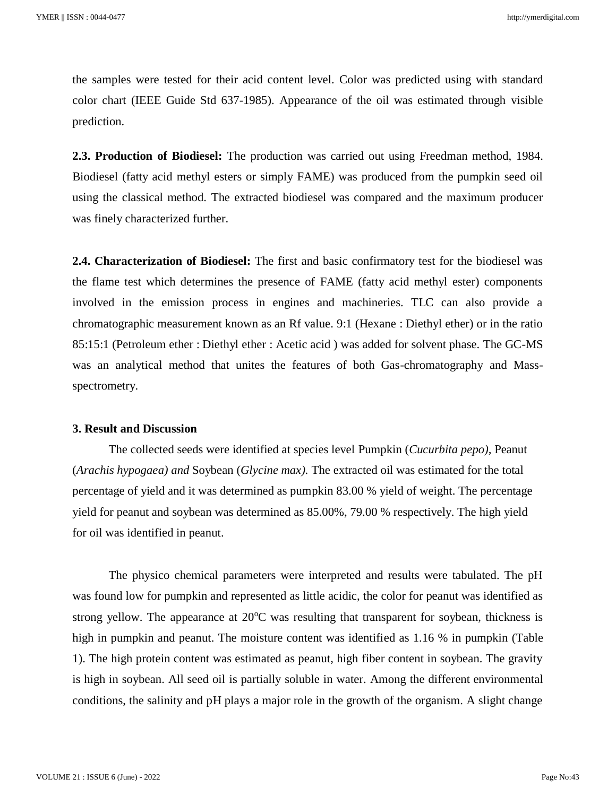the samples were tested for their acid content level. Color was predicted using with standard color chart (IEEE Guide Std 637-1985). Appearance of the oil was estimated through visible prediction.

**2.3. Production of Biodiesel:** The production was carried out using Freedman method, 1984. Biodiesel (fatty acid methyl esters or simply FAME) was produced from the pumpkin seed oil using the classical method. The extracted biodiesel was compared and the maximum producer was finely characterized further.

**2.4. Characterization of Biodiesel:** The first and basic confirmatory test for the biodiesel was the flame test which determines the presence of FAME (fatty acid methyl ester) components involved in the emission process in engines and machineries. TLC can also provide a chromatographic measurement known as an Rf value. 9:1 (Hexane : Diethyl ether) or in the ratio 85:15:1 (Petroleum ether : Diethyl ether : Acetic acid ) was added for solvent phase. The GC-MS was an analytical method that unites the features of both Gas-chromatography and Massspectrometry.

### **3. Result and Discussion**

The collected seeds were identified at species level Pumpkin (*Cucurbita pepo),* Peanut (*Arachis hypogaea) and* Soybean (*Glycine max).* The extracted oil was estimated for the total percentage of yield and it was determined as pumpkin 83.00 % yield of weight. The percentage yield for peanut and soybean was determined as 85.00%, 79.00 % respectively. The high yield for oil was identified in peanut.

The physico chemical parameters were interpreted and results were tabulated. The pH was found low for pumpkin and represented as little acidic, the color for peanut was identified as strong yellow. The appearance at  $20^{\circ}$ C was resulting that transparent for soybean, thickness is high in pumpkin and peanut. The moisture content was identified as 1.16 % in pumpkin (Table 1). The high protein content was estimated as peanut, high fiber content in soybean. The gravity is high in soybean. All seed oil is partially soluble in water. Among the different environmental conditions, the salinity and pH plays a major role in the growth of the organism. A slight change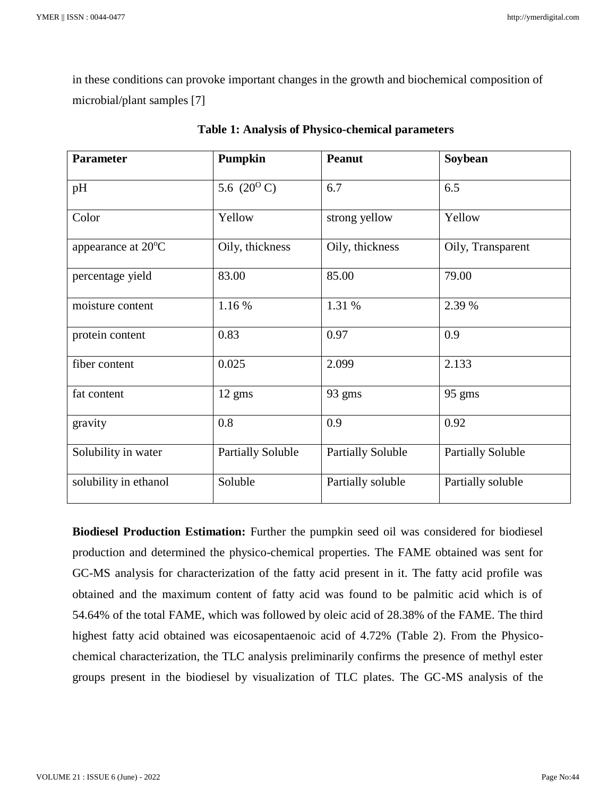in these conditions can provoke important changes in the growth and biochemical composition of microbial/plant samples [7]

| <b>Parameter</b>             | Pumpkin                  | <b>Peanut</b>            | Soybean                  |  |
|------------------------------|--------------------------|--------------------------|--------------------------|--|
| pH                           | 5.6 $(20^{\circ} C)$     | 6.7                      | 6.5                      |  |
| Color                        | Yellow                   | strong yellow            | Yellow                   |  |
| appearance at $20^{\circ}$ C | Oily, thickness          | Oily, thickness          | Oily, Transparent        |  |
| percentage yield             | 83.00                    | 85.00                    | 79.00                    |  |
| moisture content             | 1.16 %                   | 1.31 %                   | 2.39 %                   |  |
| protein content              | 0.83                     | 0.97                     | 0.9                      |  |
| fiber content                | 0.025                    | 2.099                    | 2.133                    |  |
| fat content                  | 12 gms                   | 93 gms                   | 95 gms                   |  |
| gravity                      | 0.8                      | 0.9                      | 0.92                     |  |
| Solubility in water          | <b>Partially Soluble</b> | <b>Partially Soluble</b> | <b>Partially Soluble</b> |  |
| solubility in ethanol        | Soluble                  | Partially soluble        | Partially soluble        |  |

|  |  |  | <b>Table 1: Analysis of Physico-chemical parameters</b> |
|--|--|--|---------------------------------------------------------|
|--|--|--|---------------------------------------------------------|

**Biodiesel Production Estimation:** Further the pumpkin seed oil was considered for biodiesel production and determined the physico-chemical properties. The FAME obtained was sent for GC-MS analysis for characterization of the fatty acid present in it. The fatty acid profile was obtained and the maximum content of fatty acid was found to be palmitic acid which is of 54.64% of the total FAME, which was followed by oleic acid of 28.38% of the FAME. The third highest fatty acid obtained was eicosapentaenoic acid of 4.72% (Table 2). From the Physicochemical characterization, the TLC analysis preliminarily confirms the presence of methyl ester groups present in the biodiesel by visualization of TLC plates. The GC-MS analysis of the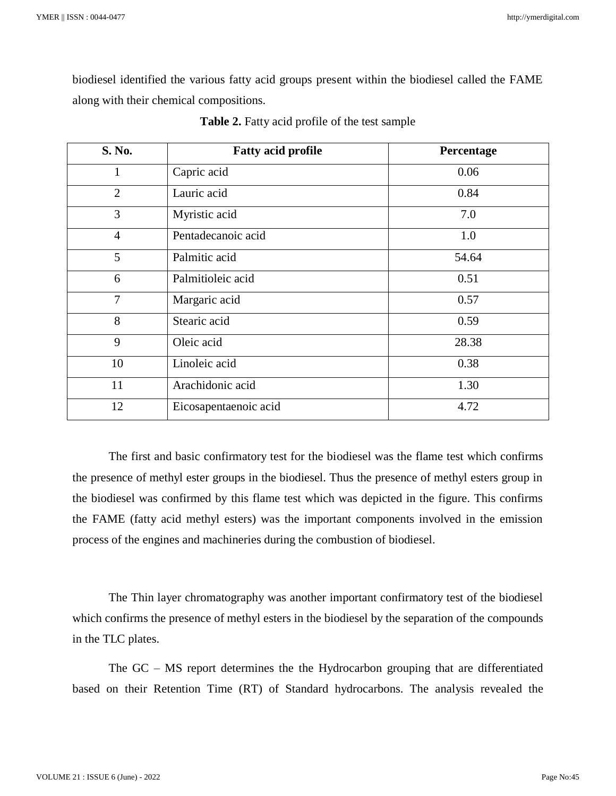biodiesel identified the various fatty acid groups present within the biodiesel called the FAME along with their chemical compositions.

| S. No.         | <b>Fatty acid profile</b> | Percentage |
|----------------|---------------------------|------------|
| $\mathbf{1}$   | Capric acid               | 0.06       |
| $\overline{2}$ | Lauric acid               | 0.84       |
| 3              | Myristic acid             | 7.0        |
| $\overline{4}$ | Pentadecanoic acid        | 1.0        |
| 5              | Palmitic acid             | 54.64      |
| 6              | Palmitioleic acid         | 0.51       |
| $\overline{7}$ | Margaric acid             | 0.57       |
| 8              | Stearic acid              | 0.59       |
| 9              | Oleic acid                | 28.38      |
| 10             | Linoleic acid             | 0.38       |
| 11             | Arachidonic acid          | 1.30       |
| 12             | Eicosapentaenoic acid     | 4.72       |

| Table 2. Fatty acid profile of the test sample |  |  |  |
|------------------------------------------------|--|--|--|
|------------------------------------------------|--|--|--|

The first and basic confirmatory test for the biodiesel was the flame test which confirms the presence of methyl ester groups in the biodiesel. Thus the presence of methyl esters group in the biodiesel was confirmed by this flame test which was depicted in the figure. This confirms the FAME (fatty acid methyl esters) was the important components involved in the emission process of the engines and machineries during the combustion of biodiesel.

The Thin layer chromatography was another important confirmatory test of the biodiesel which confirms the presence of methyl esters in the biodiesel by the separation of the compounds in the TLC plates.

The GC – MS report determines the the Hydrocarbon grouping that are differentiated based on their Retention Time (RT) of Standard hydrocarbons. The analysis revealed the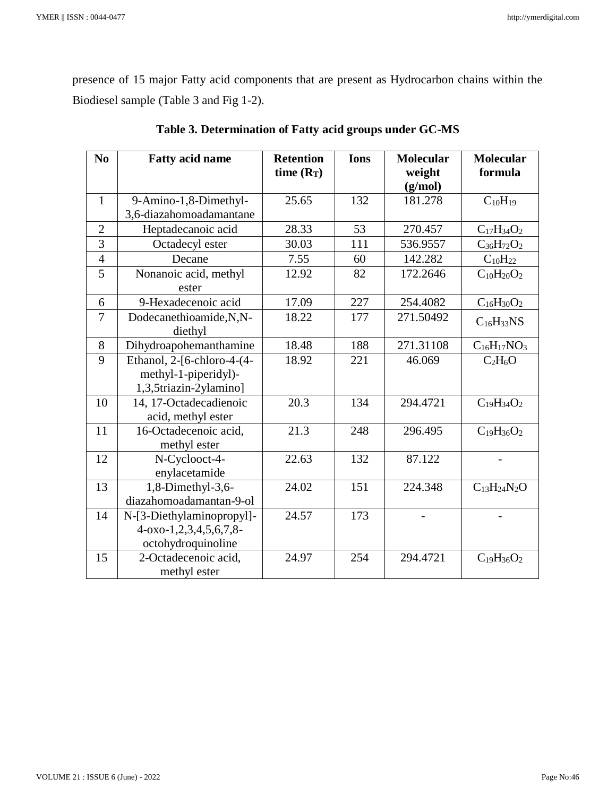presence of 15 major Fatty acid components that are present as Hydrocarbon chains within the Biodiesel sample (Table 3 and Fig 1-2).

| N <sub>0</sub> | <b>Fatty acid name</b>                                                       | <b>Retention</b><br>time $(R_T)$ | <b>Ions</b> | <b>Molecular</b><br>weight<br>(g/mol) | <b>Molecular</b><br>formula |
|----------------|------------------------------------------------------------------------------|----------------------------------|-------------|---------------------------------------|-----------------------------|
| $\mathbf{1}$   | 9-Amino-1,8-Dimethyl-<br>3,6-diazahomoadamantane                             | 25.65                            | 132         | 181.278                               | $C_{10}H_{19}$              |
| $\overline{2}$ | Heptadecanoic acid                                                           | 28.33                            | 53          | 270.457                               | $C_{17}H_{34}O_2$           |
| 3              | Octadecyl ester                                                              | 30.03                            | 111         | 536.9557                              | $C_{36}H_{72}O_2$           |
| $\overline{4}$ | Decane                                                                       | 7.55                             | 60          | 142.282                               | $C_{10}H_{22}$              |
| 5              | Nonanoic acid, methyl<br>ester                                               | 12.92                            | 82          | 172.2646                              | $C_{10}H_{20}O_2$           |
| 6              | 9-Hexadecenoic acid                                                          | 17.09                            | 227         | 254.4082                              | $C_{16}H_{30}O_2$           |
| $\overline{7}$ | Dodecanethioamide, N, N-<br>diethyl                                          | 18.22                            | 177         | 271.50492                             | $C_{16}H_{33}NS$            |
| 8              | Dihydroapohemanthamine                                                       | 18.48                            | 188         | 271.31108                             | $C_{16}H_{17}NO_3$          |
| 9              | Ethanol, 2-[6-chloro-4-(4-<br>methyl-1-piperidyl)-<br>1,3,5triazin-2ylamino] | 18.92                            | 221         | 46.069                                | $C_2H_6O$                   |
| 10             | 14, 17-Octadecadienoic<br>acid, methyl ester                                 | 20.3                             | 134         | 294.4721                              | $C_{19}H_{34}O_2$           |
| 11             | 16-Octadecenoic acid,<br>methyl ester                                        | 21.3                             | 248         | 296.495                               | $C_{19}H_{36}O_2$           |
| 12             | N-Cyclooct-4-<br>enylacetamide                                               | 22.63                            | 132         | 87.122                                |                             |
| 13             | 1,8-Dimethyl-3,6-<br>diazahomoadamantan-9-ol                                 | 24.02                            | 151         | 224.348                               | $C_{13}H_{24}N_2O$          |
| 14             | N-[3-Diethylaminopropyl]-<br>4-0xo-1,2,3,4,5,6,7,8-<br>octohydroquinoline    | 24.57                            | 173         |                                       |                             |
| 15             | 2-Octadecenoic acid,<br>methyl ester                                         | 24.97                            | 254         | 294.4721                              | $C_{19}H_{36}O_2$           |

**Table 3. Determination of Fatty acid groups under GC-MS**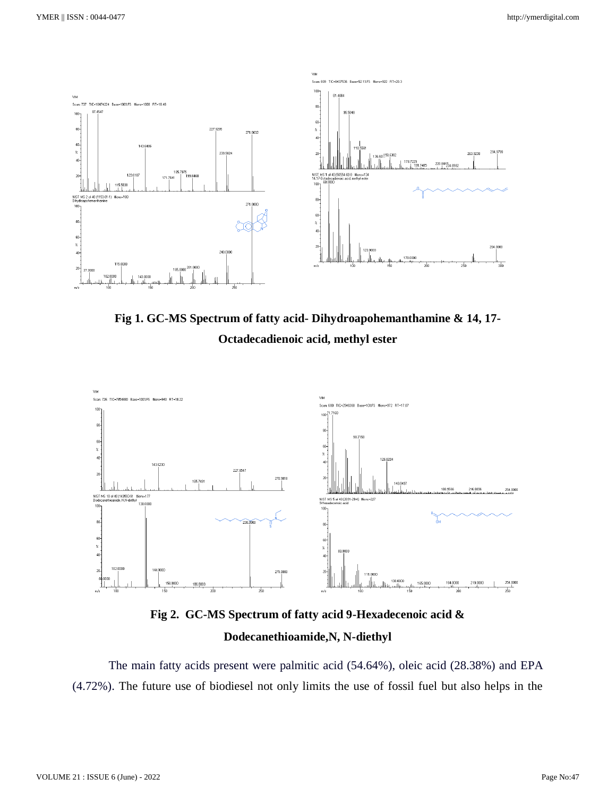

**Fig 1. GC-MS Spectrum of fatty acid- Dihydroapohemanthamine & 14, 17- Octadecadienoic acid, methyl ester**



**Fig 2. GC-MS Spectrum of fatty acid 9-Hexadecenoic acid & Dodecanethioamide,N, N-diethyl**

The main fatty acids present were palmitic acid (54.64%), oleic acid (28.38%) and EPA (4.72%). The future use of biodiesel not only limits the use of fossil fuel but also helps in the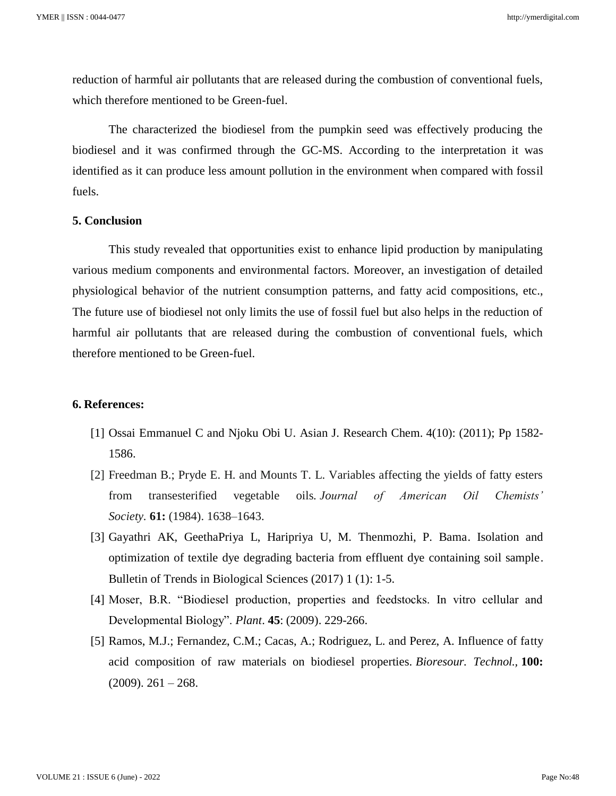reduction of harmful air pollutants that are released during the combustion of conventional fuels, which therefore mentioned to be Green-fuel.

The characterized the biodiesel from the pumpkin seed was effectively producing the biodiesel and it was confirmed through the GC-MS. According to the interpretation it was identified as it can produce less amount pollution in the environment when compared with fossil fuels.

### **5. Conclusion**

This study revealed that opportunities exist to enhance lipid production by manipulating various medium components and environmental factors. Moreover, an investigation of detailed physiological behavior of the nutrient consumption patterns, and fatty acid compositions, etc., The future use of biodiesel not only limits the use of fossil fuel but also helps in the reduction of harmful air pollutants that are released during the combustion of conventional fuels, which therefore mentioned to be Green-fuel.

### **6. References:**

- [1] Ossai Emmanuel C and Njoku Obi U. Asian J. Research Chem. 4(10): (2011); Pp 1582- 1586.
- [2] Freedman B.; Pryde E. H. and Mounts T. L. Variables affecting the yields of fatty esters from transesterified vegetable oils. *Journal of American Oil Chemists' Society.* **61:** (1984). 1638–1643.
- [3] Gayathri AK, GeethaPriya L, Haripriya U, M. Thenmozhi, P. Bama. Isolation and optimization of textile dye degrading bacteria from effluent dye containing soil sample. Bulletin of Trends in Biological Sciences (2017) 1 (1): 1-5.
- [4] Moser, B.R. "Biodiesel production, properties and feedstocks. In vitro cellular and Developmental Biology". *Plant*. **45**: (2009). 229-266.
- [5] Ramos, M.J.; Fernandez, C.M.; Cacas, A.; Rodriguez, L. and Perez, A. Influence of fatty acid composition of raw materials on biodiesel properties. *Bioresour. Technol.,* **100:**  $(2009)$ . 261 – 268.